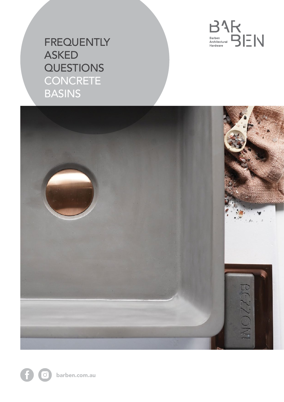

# **FREQUENTLY** ASKED **QUESTIONS CONCRETE** BASINS